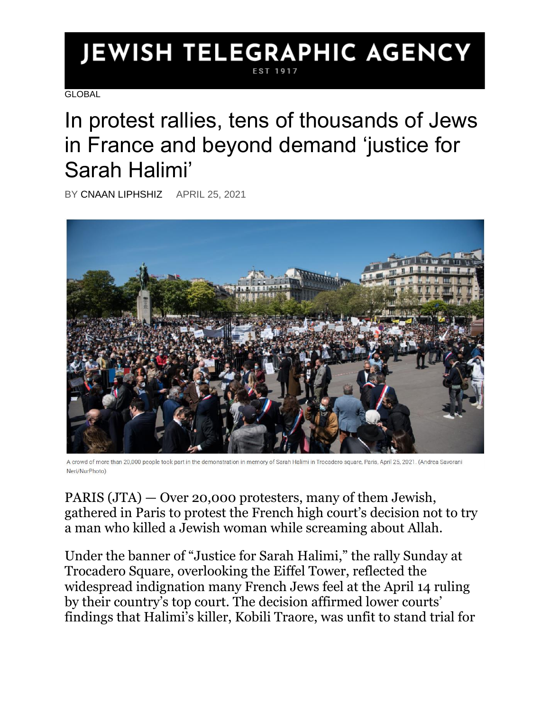## **JEWISH TELEGRAPHIC AGENCY** EST 191

**GLOBAL** 

## In protest rallies, tens of thousands of Jews in France and beyond demand 'justice for Sarah Halimi'

BY [CNAAN LIPHSHIZ](https://www.jta.org/author/cnaan-liphshiz) APRIL 25, 2021



A crowd of more than 20,000 people took part in the demonstration in memory of Sarah Halimi in Trocadero square, Paris, April 25, 2021. (Andrea Savorani Neri/NurPhoto)

PARIS [\(JTA\)](http://www.jta.org/) — Over 20,000 protesters, many of them Jewish, gathered in Paris to protest the French high court's decision not to try a man who killed a Jewish woman while screaming about Allah.

Under the banner of "Justice for Sarah Halimi," the rally Sunday at Trocadero Square, overlooking the Eiffel Tower, reflected the widespread indignation many French Jews feel at the April 14 ruling by their country's top court. The decision [affirmed](https://www.jta.org/quick-reads/french-top-court-upholds-decision-not-to-try-arab-man-who-killed-his-jewish-neighbor-while-high-on-marijuana) lower courts' findings that Halimi's killer, Kobili Traore, was unfit to stand trial for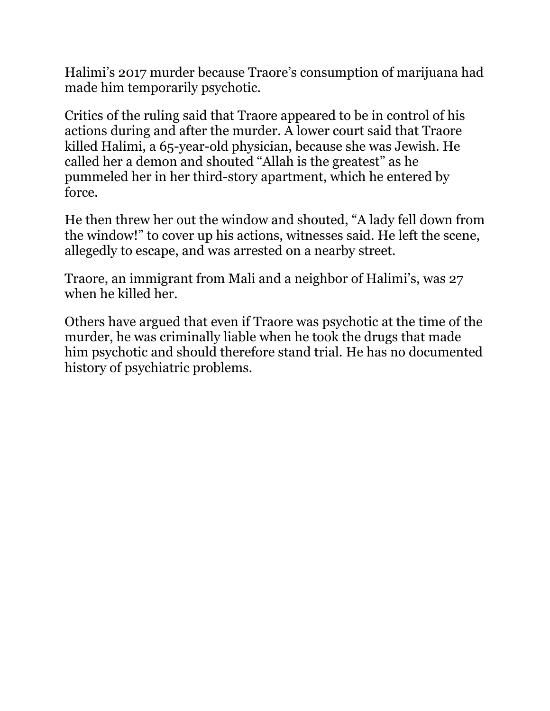Halimi's 2017 murder because Traore's consumption of marijuana had made him temporarily psychotic.

Critics of the ruling said that Traore appeared to be in control of his actions during and after the murder. A lower court said that Traore killed Halimi, a 65-year-old physician, because she was Jewish. He called her a demon and shouted "Allah is the greatest" as he pummeled her in her third-story apartment, which he entered by force.

He then threw her out the window and shouted, "A lady fell down from the window!" to cover up his actions, witnesses said. He left the scene, allegedly to escape, and was arrested on a nearby street.

Traore, an immigrant from Mali and a neighbor of Halimi's, was 27 when he killed her.

Others have argued that even if Traore was psychotic at the time of the murder, he was criminally liable when he took the drugs that made him psychotic and should therefore stand trial. He has no documented history of psychiatric problems.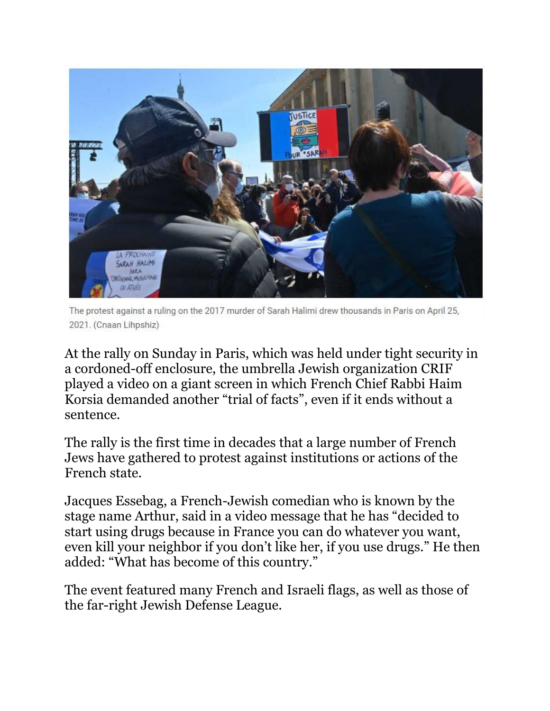

The protest against a ruling on the 2017 murder of Sarah Halimi drew thousands in Paris on April 25, 2021. (Cnaan Lihpshiz)

At the rally on Sunday in Paris, which was held under tight security in a cordoned-off enclosure, the umbrella Jewish organization CRIF played a video on a giant screen in which French Chief Rabbi Haim Korsia demanded another "trial of facts", even if it ends without a sentence.

The rally is the first time in decades that a large number of French Jews have gathered to protest against institutions or actions of the French state.

Jacques Essebag, a French-Jewish comedian who is known by the stage name Arthur, said in a video message that he has "decided to start using drugs because in France you can do whatever you want, even kill your neighbor if you don't like her, if you use drugs." He then added: "What has become of this country."

The event featured many French and Israeli flags, as well as those of the far-right Jewish Defense League.